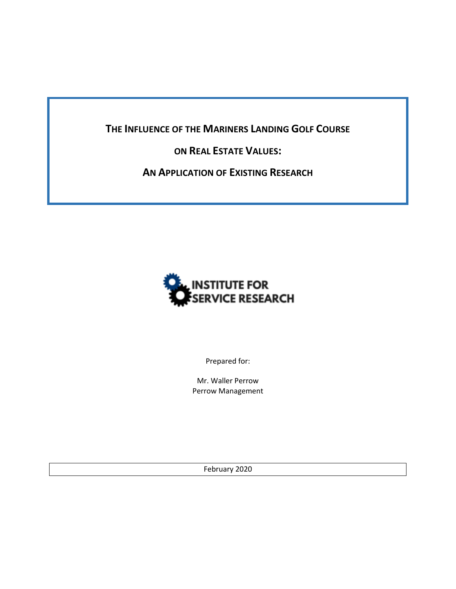**THE INFLUENCE OF THE MARINERS LANDING GOLF COURSE** 

## **ON REAL ESTATE VALUES:**

**AN APPLICATION OF EXISTING RESEARCH**



Prepared for:

Mr. Waller Perrow Perrow Management

February 2020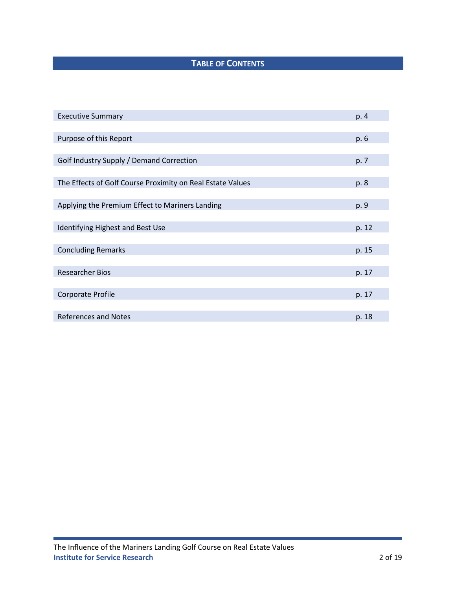# **TABLE OF CONTENTS**

| <b>Executive Summary</b>                                   | p. 4  |
|------------------------------------------------------------|-------|
|                                                            |       |
| Purpose of this Report                                     | p. 6  |
|                                                            |       |
| Golf Industry Supply / Demand Correction                   | p. 7  |
|                                                            |       |
| The Effects of Golf Course Proximity on Real Estate Values | p. 8  |
|                                                            |       |
| Applying the Premium Effect to Mariners Landing            | p. 9  |
|                                                            |       |
| Identifying Highest and Best Use                           | p. 12 |
|                                                            |       |
| <b>Concluding Remarks</b>                                  | p. 15 |
|                                                            |       |
| <b>Researcher Bios</b>                                     | p. 17 |
|                                                            |       |
| Corporate Profile                                          | p. 17 |
|                                                            |       |
| <b>References and Notes</b>                                | p. 18 |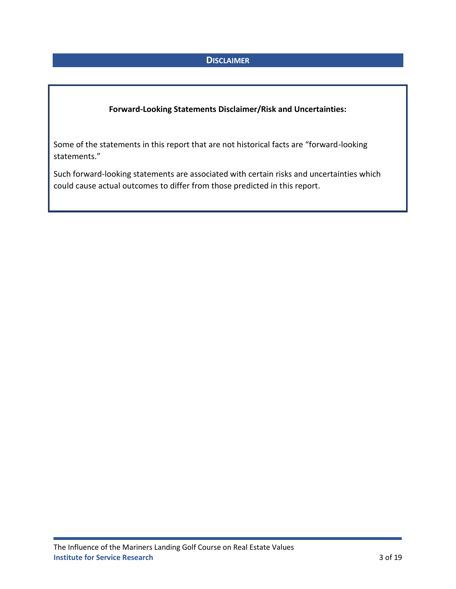### **DISCLAIMER**

### **Forward-Looking Statements Disclaimer/Risk and Uncertainties:**

Some of the statements in this report that are not historical facts are "forward-looking statements."

Such forward-looking statements are associated with certain risks and uncertainties which could cause actual outcomes to differ from those predicted in this report.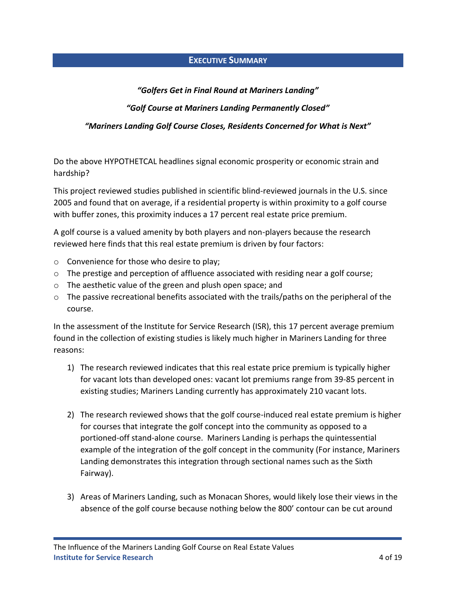### **EXECUTIVE SUMMARY**

### *"Golfers Get in Final Round at Mariners Landing"*

### *"Golf Course at Mariners Landing Permanently Closed"*

### *"Mariners Landing Golf Course Closes, Residents Concerned for What is Next"*

Do the above HYPOTHETCAL headlines signal economic prosperity or economic strain and hardship?

This project reviewed studies published in scientific blind-reviewed journals in the U.S. since 2005 and found that on average, if a residential property is within proximity to a golf course with buffer zones, this proximity induces a 17 percent real estate price premium.

A golf course is a valued amenity by both players and non-players because the research reviewed here finds that this real estate premium is driven by four factors:

- o Convenience for those who desire to play;
- $\circ$  The prestige and perception of affluence associated with residing near a golf course;
- o The aesthetic value of the green and plush open space; and
- $\circ$  The passive recreational benefits associated with the trails/paths on the peripheral of the course.

In the assessment of the Institute for Service Research (ISR), this 17 percent average premium found in the collection of existing studies is likely much higher in Mariners Landing for three reasons:

- 1) The research reviewed indicates that this real estate price premium is typically higher for vacant lots than developed ones: vacant lot premiums range from 39-85 percent in existing studies; Mariners Landing currently has approximately 210 vacant lots.
- 2) The research reviewed shows that the golf course-induced real estate premium is higher for courses that integrate the golf concept into the community as opposed to a portioned-off stand-alone course. Mariners Landing is perhaps the quintessential example of the integration of the golf concept in the community (For instance, Mariners Landing demonstrates this integration through sectional names such as the Sixth Fairway).
- 3) Areas of Mariners Landing, such as Monacan Shores, would likely lose their views in the absence of the golf course because nothing below the 800' contour can be cut around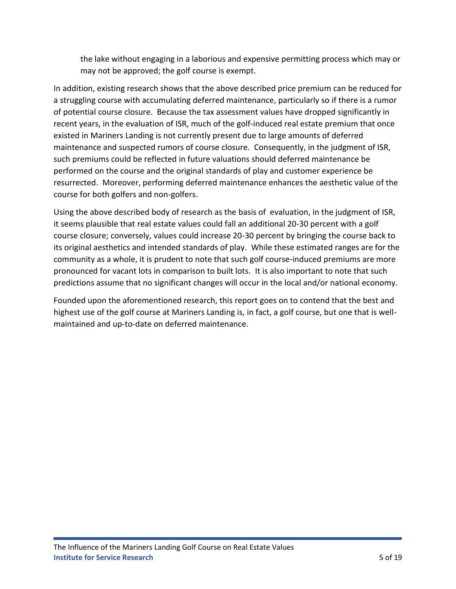the lake without engaging in a laborious and expensive permitting process which may or may not be approved; the golf course is exempt.

In addition, existing research shows that the above described price premium can be reduced for a struggling course with accumulating deferred maintenance, particularly so if there is a rumor of potential course closure. Because the tax assessment values have dropped significantly in recent years, in the evaluation of ISR, much of the golf-induced real estate premium that once existed in Mariners Landing is not currently present due to large amounts of deferred maintenance and suspected rumors of course closure. Consequently, in the judgment of ISR, such premiums could be reflected in future valuations should deferred maintenance be performed on the course and the original standards of play and customer experience be resurrected. Moreover, performing deferred maintenance enhances the aesthetic value of the course for both golfers and non-golfers.

Using the above described body of research as the basis of evaluation, in the judgment of ISR, it seems plausible that real estate values could fall an additional 20-30 percent with a golf course closure; conversely, values could increase 20-30 percent by bringing the course back to its original aesthetics and intended standards of play. While these estimated ranges are for the community as a whole, it is prudent to note that such golf course-induced premiums are more pronounced for vacant lots in comparison to built lots. It is also important to note that such predictions assume that no significant changes will occur in the local and/or national economy.

Founded upon the aforementioned research, this report goes on to contend that the best and highest use of the golf course at Mariners Landing is, in fact, a golf course, but one that is wellmaintained and up-to-date on deferred maintenance.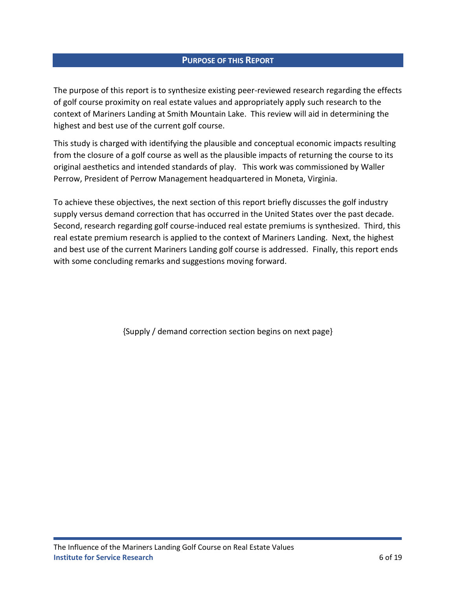### **PURPOSE OF THIS REPORT**

The purpose of this report is to synthesize existing peer-reviewed research regarding the effects of golf course proximity on real estate values and appropriately apply such research to the context of Mariners Landing at Smith Mountain Lake. This review will aid in determining the highest and best use of the current golf course.

This study is charged with identifying the plausible and conceptual economic impacts resulting from the closure of a golf course as well as the plausible impacts of returning the course to its original aesthetics and intended standards of play. This work was commissioned by Waller Perrow, President of Perrow Management headquartered in Moneta, Virginia.

To achieve these objectives, the next section of this report briefly discusses the golf industry supply versus demand correction that has occurred in the United States over the past decade. Second, research regarding golf course-induced real estate premiums is synthesized. Third, this real estate premium research is applied to the context of Mariners Landing. Next, the highest and best use of the current Mariners Landing golf course is addressed. Finally, this report ends with some concluding remarks and suggestions moving forward.

{Supply / demand correction section begins on next page}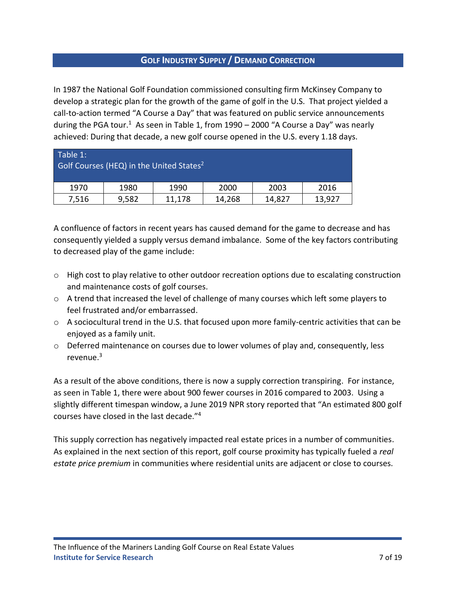### **GOLF INDUSTRY SUPPLY / DEMAND CORRECTION**

In 1987 the National Golf Foundation commissioned consulting firm McKinsey Company to develop a strategic plan for the growth of the game of golf in the U.S. That project yielded a call-to-action termed "A Course a Day" that was featured on public service announcements during the PGA tour.<sup>1</sup> As seen in Table 1, from 1990 – 2000 "A Course a Day" was nearly achieved: During that decade, a new golf course opened in the U.S. every 1.18 days.

| Table 1: | Golf Courses (HEQ) in the United States <sup>2</sup> |        |        |        |        |
|----------|------------------------------------------------------|--------|--------|--------|--------|
| 1970     | 1980                                                 | 1990   | 2000   | 2003   | 2016   |
| 7,516    | 9,582                                                | 11,178 | 14,268 | 14,827 | 13,927 |

A confluence of factors in recent years has caused demand for the game to decrease and has consequently yielded a supply versus demand imbalance. Some of the key factors contributing to decreased play of the game include:

- o High cost to play relative to other outdoor recreation options due to escalating construction and maintenance costs of golf courses.
- o A trend that increased the level of challenge of many courses which left some players to feel frustrated and/or embarrassed.
- o A sociocultural trend in the U.S. that focused upon more family-centric activities that can be enjoyed as a family unit.
- $\circ$  Deferred maintenance on courses due to lower volumes of play and, consequently, less revenue.<sup>3</sup>

As a result of the above conditions, there is now a supply correction transpiring. For instance, as seen in Table 1, there were about 900 fewer courses in 2016 compared to 2003. Using a slightly different timespan window, a June 2019 NPR story reported that "An estimated 800 golf courses have closed in the last decade."<sup>4</sup>

This supply correction has negatively impacted real estate prices in a number of communities. As explained in the next section of this report, golf course proximity has typically fueled a *real estate price premium* in communities where residential units are adjacent or close to courses.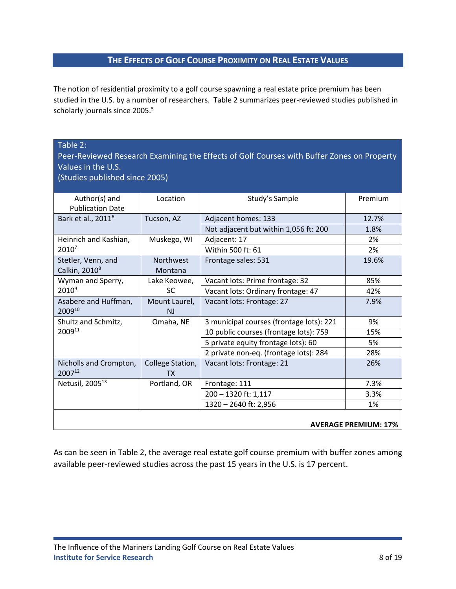### **THE EFFECTS OF GOLF COURSE PROXIMITY ON REAL ESTATE VALUES**

The notion of residential proximity to a golf course spawning a real estate price premium has been studied in the U.S. by a number of researchers. Table 2 summarizes peer-reviewed studies published in scholarly journals since 2005.<sup>5</sup>

### Table 2:

Peer-Reviewed Research Examining the Effects of Golf Courses with Buffer Zones on Property Values in the U.S.

(Studies published since 2005)

| Author(s) and<br><b>Publication Date</b>        | Location                    | Study's Sample                           | Premium                     |
|-------------------------------------------------|-----------------------------|------------------------------------------|-----------------------------|
| Bark et al., 2011 <sup>6</sup>                  | Tucson, AZ                  | Adjacent homes: 133                      | 12.7%                       |
|                                                 |                             | Not adjacent but within 1,056 ft: 200    | 1.8%                        |
| Heinrich and Kashian,                           | Muskego, WI                 | Adjacent: 17                             | 2%                          |
| 20107                                           |                             | Within 500 ft: 61                        | 2%                          |
| Stetler, Venn, and<br>Calkin, 2010 <sup>8</sup> | <b>Northwest</b><br>Montana | Frontage sales: 531                      | 19.6%                       |
| Wyman and Sperry,                               | Lake Keowee,                | Vacant lots: Prime frontage: 32          | 85%                         |
| $2010^9$                                        | SC                          | Vacant lots: Ordinary frontage: 47       | 42%                         |
| Asabere and Huffman,<br>200910                  | Mount Laurel,<br><b>NJ</b>  | Vacant lots: Frontage: 27                | 7.9%                        |
| Shultz and Schmitz,                             | Omaha, NE                   | 3 municipal courses (frontage lots): 221 | 9%                          |
| 200911                                          |                             | 10 public courses (frontage lots): 759   | 15%                         |
|                                                 |                             | 5 private equity frontage lots): 60      | 5%                          |
|                                                 |                             | 2 private non-eq. (frontage lots): 284   | 28%                         |
| Nicholls and Crompton,<br>200712                | College Station,<br>TX.     | Vacant lots: Frontage: 21                | 26%                         |
| Netusil, 2005 <sup>13</sup>                     | Portland, OR                | Frontage: 111                            | 7.3%                        |
|                                                 |                             | 200 - 1320 ft: 1,117                     | 3.3%                        |
|                                                 |                             | 1320 - 2640 ft: 2,956                    | 1%                          |
|                                                 |                             |                                          | <b>AVERAGE PREMIUM: 17%</b> |

As can be seen in Table 2, the average real estate golf course premium with buffer zones among available peer-reviewed studies across the past 15 years in the U.S. is 17 percent.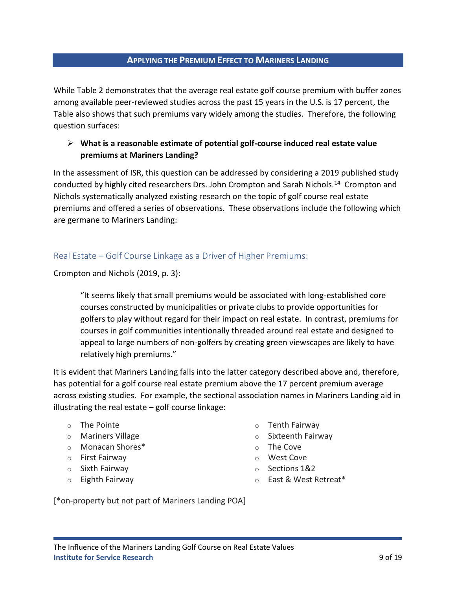### **APPLYING THE PREMIUM EFFECT TO MARINERS LANDING**

While Table 2 demonstrates that the average real estate golf course premium with buffer zones among available peer-reviewed studies across the past 15 years in the U.S. is 17 percent, the Table also shows that such premiums vary widely among the studies. Therefore, the following question surfaces:

### ➢ **What is a reasonable estimate of potential golf-course induced real estate value premiums at Mariners Landing?**

In the assessment of ISR, this question can be addressed by considering a 2019 published study conducted by highly cited researchers Drs. John Crompton and Sarah Nichols.<sup>14</sup> Crompton and Nichols systematically analyzed existing research on the topic of golf course real estate premiums and offered a series of observations. These observations include the following which are germane to Mariners Landing:

### Real Estate – Golf Course Linkage as a Driver of Higher Premiums:

Crompton and Nichols (2019, p. 3):

"It seems likely that small premiums would be associated with long-established core courses constructed by municipalities or private clubs to provide opportunities for golfers to play without regard for their impact on real estate. In contrast, premiums for courses in golf communities intentionally threaded around real estate and designed to appeal to large numbers of non-golfers by creating green viewscapes are likely to have relatively high premiums."

It is evident that Mariners Landing falls into the latter category described above and, therefore, has potential for a golf course real estate premium above the 17 percent premium average across existing studies. For example, the sectional association names in Mariners Landing aid in illustrating the real estate – golf course linkage:

- o The Pointe
- o Mariners Village
- o Monacan Shores\*
- o First Fairway
- o Sixth Fairway
- o Eighth Fairway
- o Tenth Fairway
- o Sixteenth Fairway
- o The Cove
- o West Cove
- o Sections 1&2
- o East & West Retreat\*

[\*on-property but not part of Mariners Landing POA]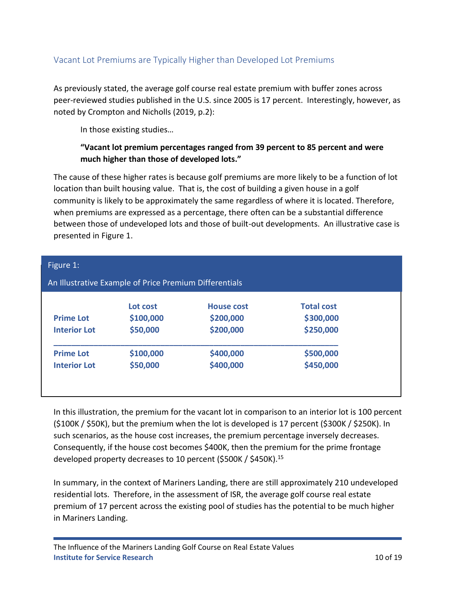### Vacant Lot Premiums are Typically Higher than Developed Lot Premiums

As previously stated, the average golf course real estate premium with buffer zones across peer-reviewed studies published in the U.S. since 2005 is 17 percent. Interestingly, however, as noted by Crompton and Nicholls (2019, p.2):

In those existing studies…

### **"Vacant lot premium percentages ranged from 39 percent to 85 percent and were much higher than those of developed lots."**

The cause of these higher rates is because golf premiums are more likely to be a function of lot location than built housing value. That is, the cost of building a given house in a golf community is likely to be approximately the same regardless of where it is located. Therefore, when premiums are expressed as a percentage, there often can be a substantial difference between those of undeveloped lots and those of built-out developments. An illustrative case is presented in Figure 1.

| Figure 1:           |                                                        |                   |                   |  |  |
|---------------------|--------------------------------------------------------|-------------------|-------------------|--|--|
|                     | An Illustrative Example of Price Premium Differentials |                   |                   |  |  |
|                     | Lot cost                                               | <b>House cost</b> | <b>Total cost</b> |  |  |
| <b>Prime Lot</b>    | \$100,000                                              | \$200,000         | \$300,000         |  |  |
| <b>Interior Lot</b> | \$50,000                                               | \$200,000         | \$250,000         |  |  |
| <b>Prime Lot</b>    | \$100,000                                              | \$400,000         | \$500,000         |  |  |
| <b>Interior Lot</b> | \$50,000                                               | \$400,000         | \$450,000         |  |  |

In this illustration, the premium for the vacant lot in comparison to an interior lot is 100 percent (\$100K / \$50K), but the premium when the lot is developed is 17 percent (\$300K / \$250K). In such scenarios, as the house cost increases, the premium percentage inversely decreases. Consequently, if the house cost becomes \$400K, then the premium for the prime frontage developed property decreases to 10 percent (\$500K / \$450K).<sup>15</sup>

In summary, in the context of Mariners Landing, there are still approximately 210 undeveloped residential lots. Therefore, in the assessment of ISR, the average golf course real estate premium of 17 percent across the existing pool of studies has the potential to be much higher in Mariners Landing.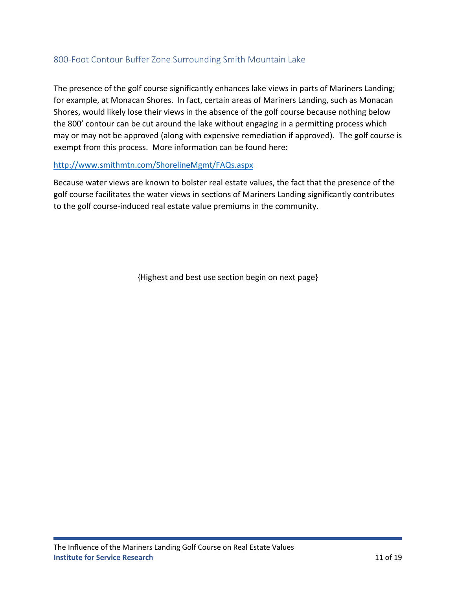### 800-Foot Contour Buffer Zone Surrounding Smith Mountain Lake

The presence of the golf course significantly enhances lake views in parts of Mariners Landing; for example, at Monacan Shores. In fact, certain areas of Mariners Landing, such as Monacan Shores, would likely lose their views in the absence of the golf course because nothing below the 800' contour can be cut around the lake without engaging in a permitting process which may or may not be approved (along with expensive remediation if approved). The golf course is exempt from this process. More information can be found here:

### <http://www.smithmtn.com/ShorelineMgmt/FAQs.aspx>

Because water views are known to bolster real estate values, the fact that the presence of the golf course facilitates the water views in sections of Mariners Landing significantly contributes to the golf course-induced real estate value premiums in the community.

{Highest and best use section begin on next page}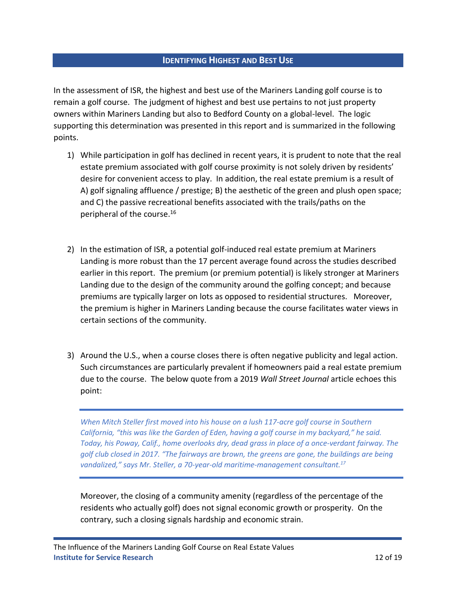### **IDENTIFYING HIGHEST AND BEST USE**

In the assessment of ISR, the highest and best use of the Mariners Landing golf course is to remain a golf course. The judgment of highest and best use pertains to not just property owners within Mariners Landing but also to Bedford County on a global-level. The logic supporting this determination was presented in this report and is summarized in the following points.

- 1) While participation in golf has declined in recent years, it is prudent to note that the real estate premium associated with golf course proximity is not solely driven by residents' desire for convenient access to play. In addition, the real estate premium is a result of A) golf signaling affluence / prestige; B) the aesthetic of the green and plush open space; and C) the passive recreational benefits associated with the trails/paths on the peripheral of the course. 16
- 2) In the estimation of ISR, a potential golf-induced real estate premium at Mariners Landing is more robust than the 17 percent average found across the studies described earlier in this report. The premium (or premium potential) is likely stronger at Mariners Landing due to the design of the community around the golfing concept; and because premiums are typically larger on lots as opposed to residential structures. Moreover, the premium is higher in Mariners Landing because the course facilitates water views in certain sections of the community.
- 3) Around the U.S., when a course closes there is often negative publicity and legal action. Such circumstances are particularly prevalent if homeowners paid a real estate premium due to the course. The below quote from a 2019 *Wall Street Journal* article echoes this point:

*When Mitch Steller first moved into his house on a lush 117-acre golf course in Southern California, "this was like the Garden of Eden, having a golf course in my backyard," he said. Today, his Poway, Calif., home overlooks dry, dead grass in place of a once-verdant fairway. The golf club closed in 2017. "The fairways are brown, the greens are gone, the buildings are being vandalized," says Mr. Steller, a 70-year-old maritime-management consultant.<sup>17</sup>*

Moreover, the closing of a community amenity (regardless of the percentage of the residents who actually golf) does not signal economic growth or prosperity. On the contrary, such a closing signals hardship and economic strain.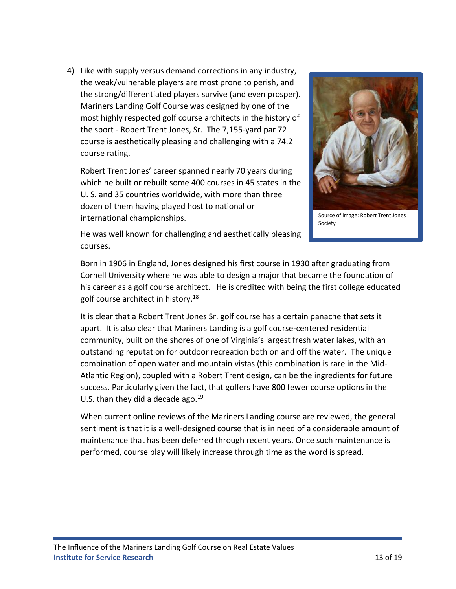4) Like with supply versus demand corrections in any industry, the weak/vulnerable players are most prone to perish, and the strong/differentiated players survive (and even prosper). Mariners Landing Golf Course was designed by one of the most highly respected golf course architects in the history of the sport - Robert Trent Jones, Sr. The 7,155-yard par 72 course is aesthetically pleasing and challenging with a 74.2 course rating.

Robert Trent Jones' career spanned nearly 70 years during which he built or rebuilt some 400 courses in 45 states in the U. S. and 35 countries worldwide, with more than three dozen of them having played host to national or international championships.



Source of image: Robert Trent Jones Society

He was well known for challenging and aesthetically pleasing courses.

Born in 1906 in England, Jones designed his first course in 1930 after graduating from Cornell University where he was able to design a major that became the foundation of his career as a golf course architect. He is credited with being the first college educated golf course architect in history.<sup>18</sup>

It is clear that a Robert Trent Jones Sr. golf course has a certain panache that sets it apart. It is also clear that Mariners Landing is a golf course-centered residential community, built on the shores of one of Virginia's largest fresh water lakes, with an outstanding reputation for outdoor recreation both on and off the water. The unique combination of open water and mountain vistas (this combination is rare in the Mid-Atlantic Region), coupled with a Robert Trent design, can be the ingredients for future success. Particularly given the fact, that golfers have 800 fewer course options in the U.S. than they did a decade ago. $19$ 

When current online reviews of the Mariners Landing course are reviewed, the general sentiment is that it is a well-designed course that is in need of a considerable amount of maintenance that has been deferred through recent years. Once such maintenance is performed, course play will likely increase through time as the word is spread.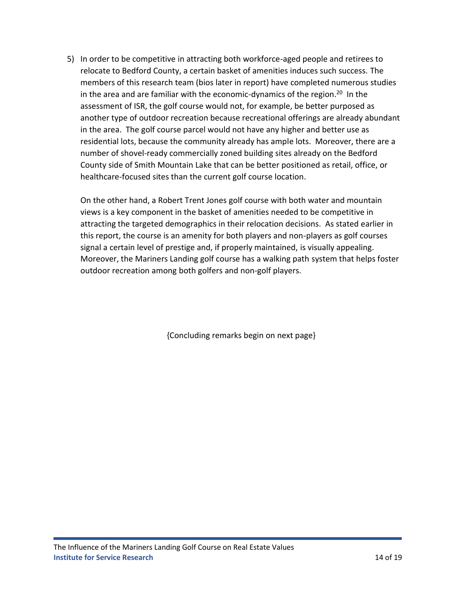5) In order to be competitive in attracting both workforce-aged people and retirees to relocate to Bedford County, a certain basket of amenities induces such success. The members of this research team (bios later in report) have completed numerous studies in the area and are familiar with the economic-dynamics of the region. 20 In the assessment of ISR, the golf course would not, for example, be better purposed as another type of outdoor recreation because recreational offerings are already abundant in the area. The golf course parcel would not have any higher and better use as residential lots, because the community already has ample lots. Moreover, there are a number of shovel-ready commercially zoned building sites already on the Bedford County side of Smith Mountain Lake that can be better positioned as retail, office, or healthcare-focused sites than the current golf course location.

On the other hand, a Robert Trent Jones golf course with both water and mountain views is a key component in the basket of amenities needed to be competitive in attracting the targeted demographics in their relocation decisions. As stated earlier in this report, the course is an amenity for both players and non-players as golf courses signal a certain level of prestige and, if properly maintained, is visually appealing. Moreover, the Mariners Landing golf course has a walking path system that helps foster outdoor recreation among both golfers and non-golf players.

{Concluding remarks begin on next page}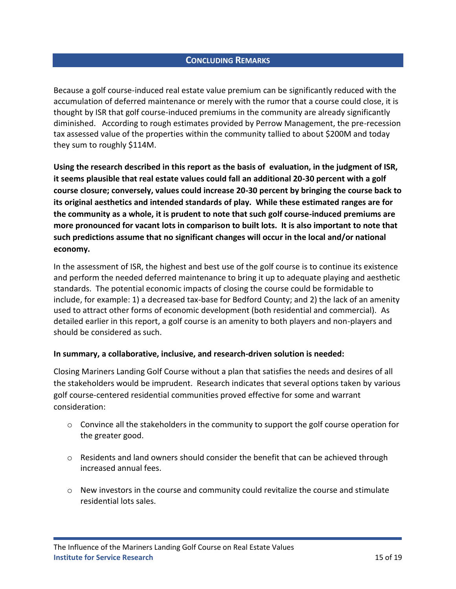### **CONCLUDING REMARKS**

Because a golf course-induced real estate value premium can be significantly reduced with the accumulation of deferred maintenance or merely with the rumor that a course could close, it is thought by ISR that golf course-induced premiums in the community are already significantly diminished. According to rough estimates provided by Perrow Management, the pre-recession tax assessed value of the properties within the community tallied to about \$200M and today they sum to roughly \$114M.

**Using the research described in this report as the basis of evaluation, in the judgment of ISR, it seems plausible that real estate values could fall an additional 20-30 percent with a golf course closure; conversely, values could increase 20-30 percent by bringing the course back to its original aesthetics and intended standards of play. While these estimated ranges are for the community as a whole, it is prudent to note that such golf course-induced premiums are more pronounced for vacant lots in comparison to built lots. It is also important to note that such predictions assume that no significant changes will occur in the local and/or national economy.** 

In the assessment of ISR, the highest and best use of the golf course is to continue its existence and perform the needed deferred maintenance to bring it up to adequate playing and aesthetic standards. The potential economic impacts of closing the course could be formidable to include, for example: 1) a decreased tax-base for Bedford County; and 2) the lack of an amenity used to attract other forms of economic development (both residential and commercial). As detailed earlier in this report, a golf course is an amenity to both players and non-players and should be considered as such.

### **In summary, a collaborative, inclusive, and research-driven solution is needed:**

Closing Mariners Landing Golf Course without a plan that satisfies the needs and desires of all the stakeholders would be imprudent. Research indicates that several options taken by various golf course-centered residential communities proved effective for some and warrant consideration:

- o Convince all the stakeholders in the community to support the golf course operation for the greater good.
- $\circ$  Residents and land owners should consider the benefit that can be achieved through increased annual fees.
- $\circ$  New investors in the course and community could revitalize the course and stimulate residential lots sales.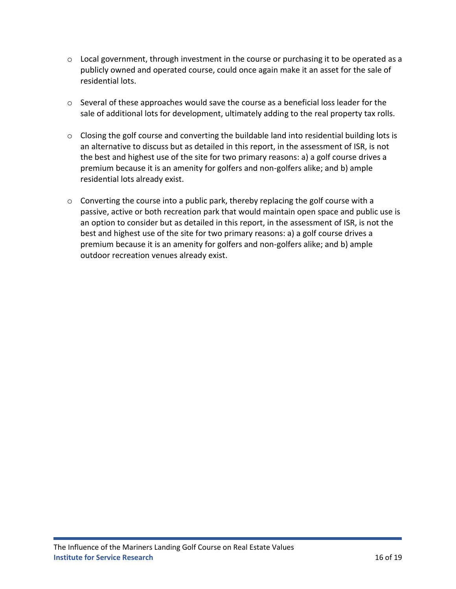- $\circ$  Local government, through investment in the course or purchasing it to be operated as a publicly owned and operated course, could once again make it an asset for the sale of residential lots.
- $\circ$  Several of these approaches would save the course as a beneficial loss leader for the sale of additional lots for development, ultimately adding to the real property tax rolls.
- o Closing the golf course and converting the buildable land into residential building lots is an alternative to discuss but as detailed in this report, in the assessment of ISR, is not the best and highest use of the site for two primary reasons: a) a golf course drives a premium because it is an amenity for golfers and non-golfers alike; and b) ample residential lots already exist.
- o Converting the course into a public park, thereby replacing the golf course with a passive, active or both recreation park that would maintain open space and public use is an option to consider but as detailed in this report, in the assessment of ISR, is not the best and highest use of the site for two primary reasons: a) a golf course drives a premium because it is an amenity for golfers and non-golfers alike; and b) ample outdoor recreation venues already exist.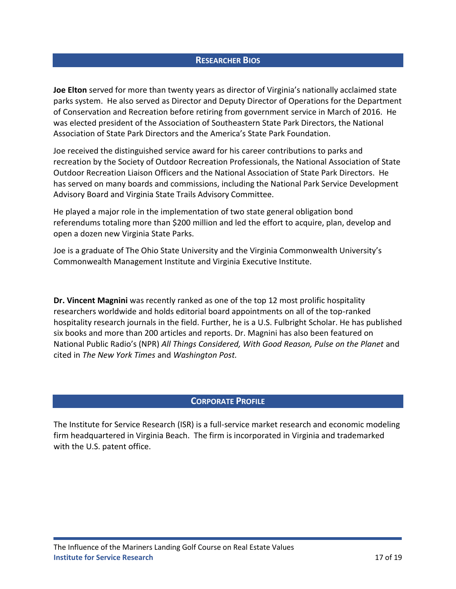### **RESEARCHER BIOS**

**Joe Elton** served for more than twenty years as director of Virginia's nationally acclaimed state parks system. He also served as Director and Deputy Director of Operations for the Department of Conservation and Recreation before retiring from government service in March of 2016. He was elected president of the Association of Southeastern State Park Directors, the National Association of State Park Directors and the America's State Park Foundation.

Joe received the distinguished service award for his career contributions to parks and recreation by the Society of Outdoor Recreation Professionals, the National Association of State Outdoor Recreation Liaison Officers and the National Association of State Park Directors. He has served on many boards and commissions, including the National Park Service Development Advisory Board and Virginia State Trails Advisory Committee.

He played a major role in the implementation of two state general obligation bond referendums totaling more than \$200 million and led the effort to acquire, plan, develop and open a dozen new Virginia State Parks.

Joe is a graduate of The Ohio State University and the Virginia Commonwealth University's Commonwealth Management Institute and Virginia Executive Institute.

**Dr. Vincent Magnini** was recently ranked as one of the top 12 most prolific hospitality researchers worldwide and holds editorial board appointments on all of the top-ranked hospitality research journals in the field. Further, he is a U.S. Fulbright Scholar. He has published six books and more than 200 articles and reports. Dr. Magnini has also been featured on National Public Radio's (NPR) *All Things Considered, With Good Reason, Pulse on the Planet* and cited in *The New York Times* and *Washington Post.*

### **CORPORATE PROFILE**

The Institute for Service Research (ISR) is a full-service market research and economic modeling firm headquartered in Virginia Beach. The firm is incorporated in Virginia and trademarked with the U.S. patent office.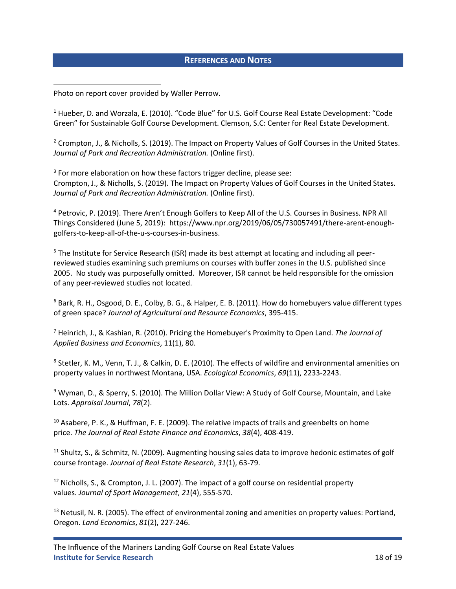### **REFERENCES AND NOTES**

Photo on report cover provided by Waller Perrow.

<sup>1</sup> Hueber, D. and Worzala, E. (2010). "Code Blue" for U.S. Golf Course Real Estate Development: "Code Green" for Sustainable Golf Course Development. Clemson, S.C: Center for Real Estate Development.

<sup>2</sup> Crompton, J., & Nicholls, S. (2019). The Impact on Property Values of Golf Courses in the United States. *Journal of Park and Recreation Administration.* (Online first).

 $3$  For more elaboration on how these factors trigger decline, please see: Crompton, J., & Nicholls, S. (2019). The Impact on Property Values of Golf Courses in the United States. *Journal of Park and Recreation Administration.* (Online first).

<sup>4</sup> Petrovic, P. (2019). There Aren't Enough Golfers to Keep All of the U.S. Courses in Business. NPR All Things Considered (June 5, 2019): [https://www.npr.org/2019/06/05/730057491/there-arent-enough](https://www.npr.org/2019/06/05/730057491/there-arent-enough-golfers-to-keep-all-of-the-u-s-courses-in-business)[golfers-to-keep-all-of-the-u-s-courses-in-business.](https://www.npr.org/2019/06/05/730057491/there-arent-enough-golfers-to-keep-all-of-the-u-s-courses-in-business)

<sup>5</sup> The Institute for Service Research (ISR) made its best attempt at locating and including all peerreviewed studies examining such premiums on courses with buffer zones in the U.S. published since 2005. No study was purposefully omitted. Moreover, ISR cannot be held responsible for the omission of any peer-reviewed studies not located.

<sup>6</sup> Bark, R. H., Osgood, D. E., Colby, B. G., & Halper, E. B. (2011). How do homebuyers value different types of green space? *Journal of Agricultural and Resource Economics*, 395-415.

<sup>7</sup> Heinrich, J., & Kashian, R. (2010). Pricing the Homebuyer's Proximity to Open Land. *The Journal of Applied Business and Economics*, 11(1), 80.

8 Stetler, K. M., Venn, T. J., & Calkin, D. E. (2010). The effects of wildfire and environmental amenities on property values in northwest Montana, USA. *Ecological Economics*, *69*(11), 2233-2243.

<sup>9</sup> Wyman, D., & Sperry, S. (2010). The Million Dollar View: A Study of Golf Course, Mountain, and Lake Lots. *Appraisal Journal*, *78*(2).

 $10$  Asabere, P. K., & Huffman, F. E. (2009). The relative impacts of trails and greenbelts on home price. *The Journal of Real Estate Finance and Economics*, *38*(4), 408-419.

<sup>11</sup> Shultz, S., & Schmitz, N. (2009). Augmenting housing sales data to improve hedonic estimates of golf course frontage. *Journal of Real Estate Research*, *31*(1), 63-79.

 $12$  Nicholls, S., & Crompton, J. L. (2007). The impact of a golf course on residential property values. *Journal of Sport Management*, *21*(4), 555-570.

 $13$  Netusil, N. R. (2005). The effect of environmental zoning and amenities on property values: Portland, Oregon. *Land Economics*, *81*(2), 227-246.